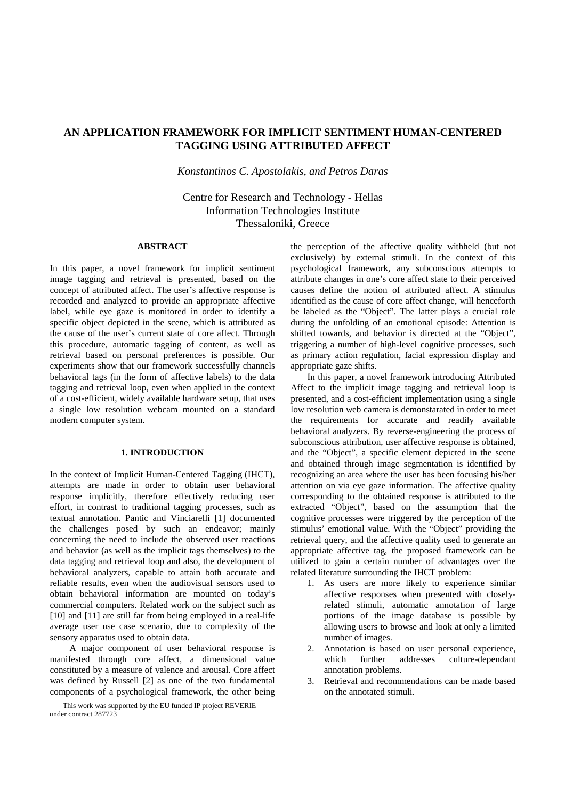# **AN APPLICATION FRAMEWORK FOR IMPLICIT SENTIMENT HUMAN-CENTERED TAGGING USING ATTRIBUTED AFFECT**

*Konstantinos C. Apostolakis, and Petros Daras* 

Centre for Research and Technology - Hellas Information Technologies Institute Thessaloniki, Greece

## **ABSTRACT**

In this paper, a novel framework for implicit sentiment image tagging and retrieval is presented, based on the concept of attributed affect. The user's affective response is recorded and analyzed to provide an appropriate affective label, while eye gaze is monitored in order to identify a specific object depicted in the scene, which is attributed as the cause of the user's current state of core affect. Through this procedure, automatic tagging of content, as well as retrieval based on personal preferences is possible. Our experiments show that our framework successfully channels behavioral tags (in the form of affective labels) to the data tagging and retrieval loop, even when applied in the context of a cost-efficient, widely available hardware setup, that uses a single low resolution webcam mounted on a standard modern computer system.

## **1. INTRODUCTION**

In the context of Implicit Human-Centered Tagging (IHCT), attempts are made in order to obtain user behavioral response implicitly, therefore effectively reducing user effort, in contrast to traditional tagging processes, such as textual annotation. Pantic and Vinciarelli [1] documented the challenges posed by such an endeavor; mainly concerning the need to include the observed user reactions and behavior (as well as the implicit tags themselves) to the data tagging and retrieval loop and also, the development of behavioral analyzers, capable to attain both accurate and reliable results, even when the audiovisual sensors used to obtain behavioral information are mounted on today's commercial computers. Related work on the subject such as [10] and [11] are still far from being employed in a real-life average user use case scenario, due to complexity of the sensory apparatus used to obtain data.

A major component of user behavioral response is manifested through core affect, a dimensional value constituted by a measure of valence and arousal. Core affect was defined by Russell [2] as one of the two fundamental components of a psychological framework, the other being the perception of the affective quality withheld (but not exclusively) by external stimuli. In the context of this psychological framework, any subconscious attempts to attribute changes in one's core affect state to their perceived causes define the notion of attributed affect. A stimulus identified as the cause of core affect change, will henceforth be labeled as the "Object". The latter plays a crucial role during the unfolding of an emotional episode: Attention is shifted towards, and behavior is directed at the "Object", triggering a number of high-level cognitive processes, such as primary action regulation, facial expression display and appropriate gaze shifts.

In this paper, a novel framework introducing Attributed Affect to the implicit image tagging and retrieval loop is presented, and a cost-efficient implementation using a single low resolution web camera is demonstarated in order to meet the requirements for accurate and readily available behavioral analyzers. By reverse-engineering the process of subconscious attribution, user affective response is obtained, and the "Object", a specific element depicted in the scene and obtained through image segmentation is identified by recognizing an area where the user has been focusing his/her attention on via eye gaze information. The affective quality corresponding to the obtained response is attributed to the extracted "Object", based on the assumption that the cognitive processes were triggered by the perception of the stimulus' emotional value. With the "Object" providing the retrieval query, and the affective quality used to generate an appropriate affective tag, the proposed framework can be utilized to gain a certain number of advantages over the related literature surrounding the IHCT problem:

- 1. As users are more likely to experience similar affective responses when presented with closelyrelated stimuli, automatic annotation of large portions of the image database is possible by allowing users to browse and look at only a limited number of images.
- 2. Annotation is based on user personal experience, which further addresses culture-dependant annotation problems.
- 3. Retrieval and recommendations can be made based on the annotated stimuli.

This work was supported by the EU funded IP project REVERIE under contract 287723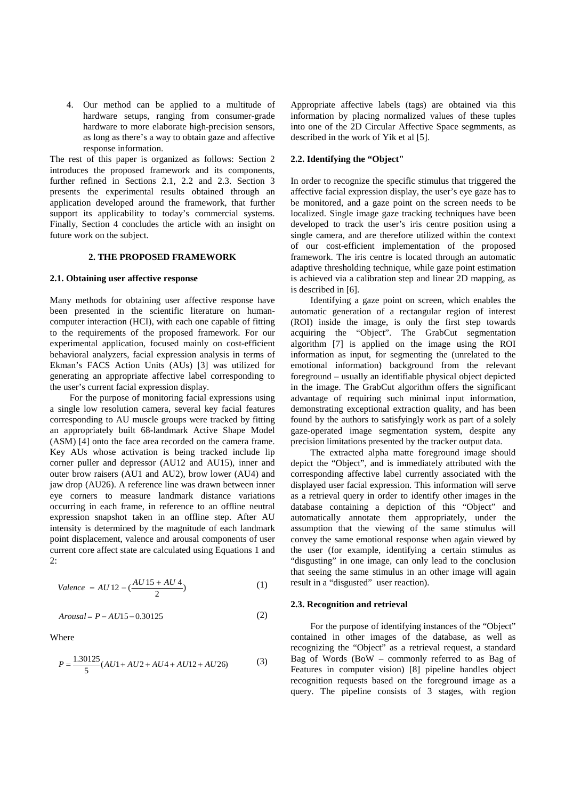4. Our method can be applied to a multitude of hardware setups, ranging from consumer-grade hardware to more elaborate high-precision sensors, as long as there's a way to obtain gaze and affective response information.

The rest of this paper is organized as follows: Section 2 introduces the proposed framework and its components, further refined in Sections 2.1, 2.2 and 2.3. Section 3 presents the experimental results obtained through an application developed around the framework, that further support its applicability to today's commercial systems. Finally, Section 4 concludes the article with an insight on future work on the subject.

## **2. THE PROPOSED FRAMEWORK**

### **2.1. Obtaining user affective response**

Many methods for obtaining user affective response have been presented in the scientific literature on humancomputer interaction (HCI), with each one capable of fitting to the requirements of the proposed framework. For our experimental application, focused mainly on cost-efficient behavioral analyzers, facial expression analysis in terms of Ekman's FACS Action Units (AUs) [3] was utilized for generating an appropriate affective label corresponding to the user's current facial expression display.

For the purpose of monitoring facial expressions using a single low resolution camera, several key facial features corresponding to AU muscle groups were tracked by fitting an appropriately built 68-landmark Active Shape Model (ASM) [4] onto the face area recorded on the camera frame. Key AUs whose activation is being tracked include lip corner puller and depressor (AU12 and AU15), inner and outer brow raisers (AU1 and AU2), brow lower (AU4) and jaw drop (AU26). A reference line was drawn between inner eye corners to measure landmark distance variations occurring in each frame, in reference to an offline neutral expression snapshot taken in an offline step. After AU intensity is determined by the magnitude of each landmark point displacement, valence and arousal components of user current core affect state are calculated using Equations 1 and  $2:$ 

$$
Value = AU 12 - \left(\frac{AU 15 + AU 4}{2}\right) \tag{1}
$$

$$
Arousal = P - AU15 - 0.30125\tag{2}
$$

Where

$$
P = \frac{1.30125}{5}(AU1 + AU2 + AU4 + AU12 + AU26)
$$
 (3)

Appropriate affective labels (tags) are obtained via this information by placing normalized values of these tuples into one of the 2D Circular Affective Space segmments, as described in the work of Yik et al [5].

#### **2.2. Identifying the "Object"**

In order to recognize the specific stimulus that triggered the affective facial expression display, the user's eye gaze has to be monitored, and a gaze point on the screen needs to be localized. Single image gaze tracking techniques have been developed to track the user's iris centre position using a single camera, and are therefore utilized within the context of our cost-efficient implementation of the proposed framework. The iris centre is located through an automatic adaptive thresholding technique, while gaze point estimation is achieved via a calibration step and linear 2D mapping, as is described in [6].

Identifying a gaze point on screen, which enables the automatic generation of a rectangular region of interest (ROI) inside the image, is only the first step towards acquiring the "Object". The GrabCut segmentation algorithm [7] is applied on the image using the ROI information as input, for segmenting the (unrelated to the emotional information) background from the relevant foreground – usually an identifiable physical object depicted in the image. The GrabCut algorithm offers the significant advantage of requiring such minimal input information, demonstrating exceptional extraction quality, and has been found by the authors to satisfyingly work as part of a solely gaze-operated image segmentation system, despite any precision limitations presented by the tracker output data.

The extracted alpha matte foreground image should depict the "Object", and is immediately attributed with the corresponding affective label currently associated with the displayed user facial expression. This information will serve as a retrieval query in order to identify other images in the database containing a depiction of this "Object" and automatically annotate them appropriately, under the assumption that the viewing of the same stimulus will convey the same emotional response when again viewed by the user (for example, identifying a certain stimulus as "disgusting" in one image, can only lead to the conclusion that seeing the same stimulus in an other image will again result in a "disgusted" user reaction).

#### **2.3. Recognition and retrieval**

For the purpose of identifying instances of the "Object" contained in other images of the database, as well as recognizing the "Object" as a retrieval request, a standard Bag of Words (BoW – commonly referred to as Bag of Features in computer vision) [8] pipeline handles object recognition requests based on the foreground image as a query. The pipeline consists of 3 stages, with region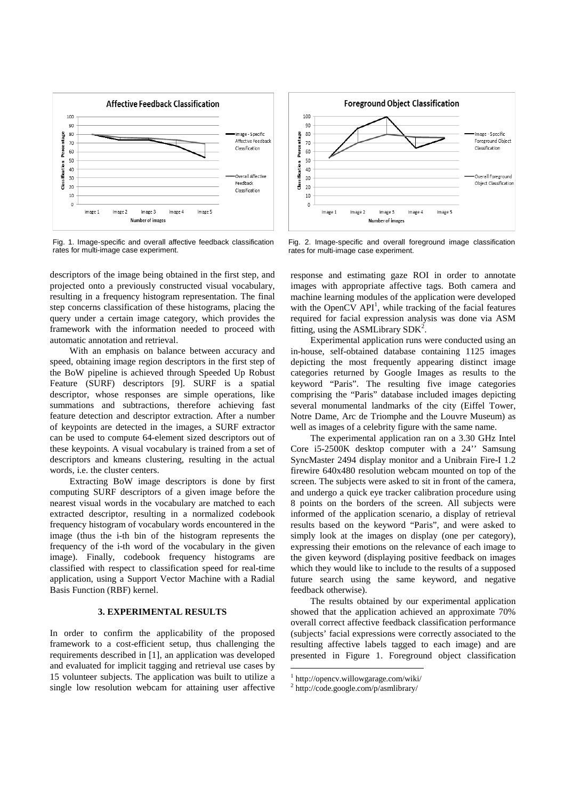

Fig. 1. Image-specific and overall affective feedback classification rates for multi-image case experiment.

descriptors of the image being obtained in the first step, and projected onto a previously constructed visual vocabulary, resulting in a frequency histogram representation. The final step concerns classification of these histograms, placing the query under a certain image category, which provides the framework with the information needed to proceed with automatic annotation and retrieval.

With an emphasis on balance between accuracy and speed, obtaining image region descriptors in the first step of the BoW pipeline is achieved through Speeded Up Robust Feature (SURF) descriptors [9]. SURF is a spatial descriptor, whose responses are simple operations, like summations and subtractions, therefore achieving fast feature detection and descriptor extraction. After a number of keypoints are detected in the images, a SURF extractor can be used to compute 64-element sized descriptors out of these keypoints. A visual vocabulary is trained from a set of descriptors and kmeans clustering, resulting in the actual words, i.e. the cluster centers.

Extracting BoW image descriptors is done by first computing SURF descriptors of a given image before the nearest visual words in the vocabulary are matched to each extracted descriptor, resulting in a normalized codebook frequency histogram of vocabulary words encountered in the image (thus the i-th bin of the histogram represents the frequency of the i-th word of the vocabulary in the given image). Finally, codebook frequency histograms are classified with respect to classification speed for real-time application, using a Support Vector Machine with a Radial Basis Function (RBF) kernel.

## **3. EXPERIMENTAL RESULTS**

In order to confirm the applicability of the proposed framework to a cost-efficient setup, thus challenging the requirements described in [1], an application was developed and evaluated for implicit tagging and retrieval use cases by 15 volunteer subjects. The application was built to utilize a single low resolution webcam for attaining user affective



Fig. 2. Image-specific and overall foreground image classification rates for multi-image case experiment.

response and estimating gaze ROI in order to annotate images with appropriate affective tags. Both camera and machine learning modules of the application were developed with the OpenCV  $API<sup>1</sup>$ , while tracking of the facial features required for facial expression analysis was done via ASM fitting, using the ASMLibrary  $SDK^2$ .

Experimental application runs were conducted using an in-house, self-obtained database containing 1125 images depicting the most frequently appearing distinct image categories returned by Google Images as results to the keyword "Paris". The resulting five image categories comprising the "Paris" database included images depicting several monumental landmarks of the city (Eiffel Tower, Notre Dame, Arc de Triomphe and the Louvre Museum) as well as images of a celebrity figure with the same name.

The experimental application ran on a 3.30 GHz Intel Core i5-2500K desktop computer with a 24'' Samsung SyncMaster 2494 display monitor and a Unibrain Fire-I 1.2 firewire 640x480 resolution webcam mounted on top of the screen. The subjects were asked to sit in front of the camera, and undergo a quick eye tracker calibration procedure using 8 points on the borders of the screen. All subjects were informed of the application scenario, a display of retrieval results based on the keyword "Paris", and were asked to simply look at the images on display (one per category), expressing their emotions on the relevance of each image to the given keyword (displaying positive feedback on images which they would like to include to the results of a supposed future search using the same keyword, and negative feedback otherwise).

The results obtained by our experimental application showed that the application achieved an approximate 70% overall correct affective feedback classification performance (subjects' facial expressions were correctly associated to the resulting affective labels tagged to each image) and are presented in Figure 1. Foreground object classification

l

<sup>1</sup> http://opencv.willowgarage.com/wiki/

<sup>2</sup> http://code.google.com/p/asmlibrary/